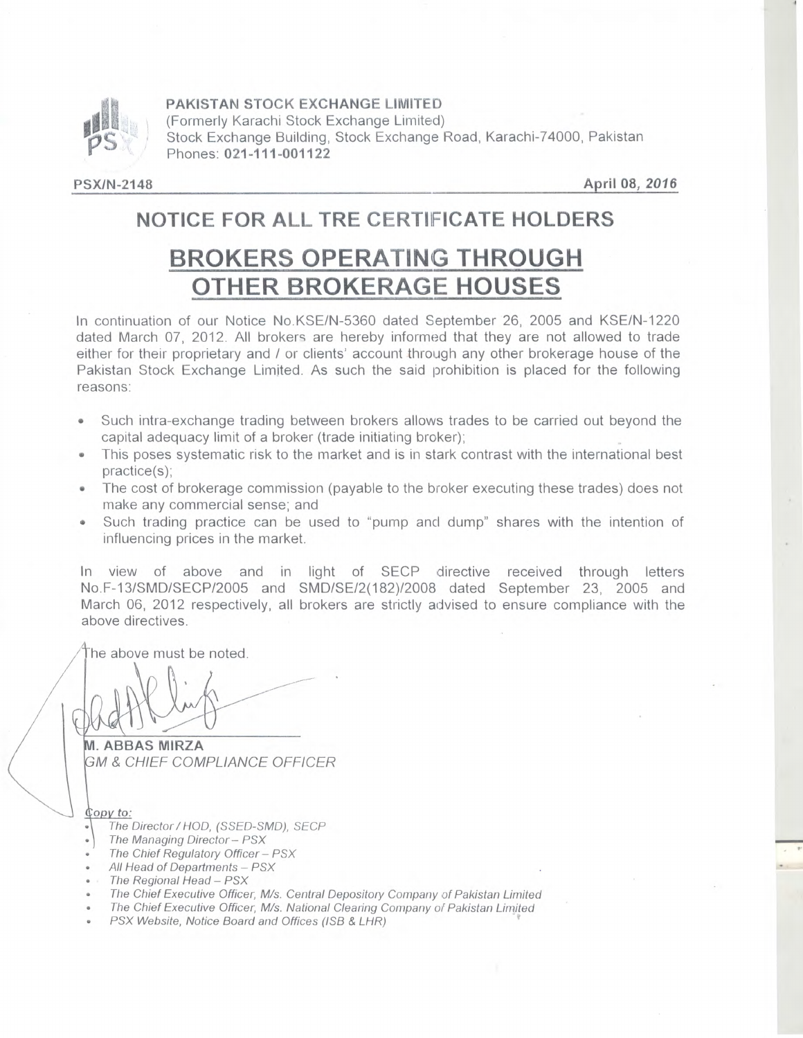

**PAKISTAN STOCK EXCHANGE LIMITED** 

(Formerly Karachi Stock Exchange Limited) Stock Exchange Building, Stock Exchange Road, Karachi-74000, Pakistan Phones: **021-111-001122** 

**PSX/N-2148 April 08, 2016** 

## NOTICE FOR ALL TRE CERTIFICATE HOLDERS

# **BROKERS OPERATING THROUGH OTHER BROKERAGE HOUSES**

In continuation of our Notice No.KSE/N-5360 dated September 26, 2005 and KSE/N-1220 dated March 07, 2012. All brokers are hereby informed that they are not allowed to trade either for their proprietary and / or clients' account through any other brokerage house of the Pakistan Stock Exchange Limited. As such the said prohibition is placed for the following reasons:

- Such intra-exchange trading between brokers allows trades to be carried out beyond the capital adequacy limit of a broker (trade initiating broker);
- This poses systematic risk to the market and is in stark contrast with the international best practice(s);
- The cost of brokerage commission (payable to the broker executing these trades) does not make any commercial sense; and
- Such trading practice can be used to "pump and dump" shares with the intention of influencing prices in the market.

In view of above and in light of SECP directive received through letters No.F-13/SMD/SECPI2005 and SMD/SE/2(182)/2008 dated September 23, 2005 and March 06, 2012 respectively, all brokers are strictly advised to ensure compliance with the above directives.

he above must be noted.

**• ABBAS MIRZA M** & CHIEF COMPLIANCE OFFICER

- $Q$ opy to:
- The Director / HOD, (SSED-SMD), SECP
- ) The Managing Director— PSX
- The Chief Regulatory Officer PSX
- All Head of Departments PSX
- The Regional Head PSX
- The Chief Executive Officer, M/s. Central Depository Company of Pakistan Limited
- The Chief Executive Officer, M/s. National Clearing Company of Pakistan Limited
- PSX Website, Notice Board and Offices (ISB & LHR)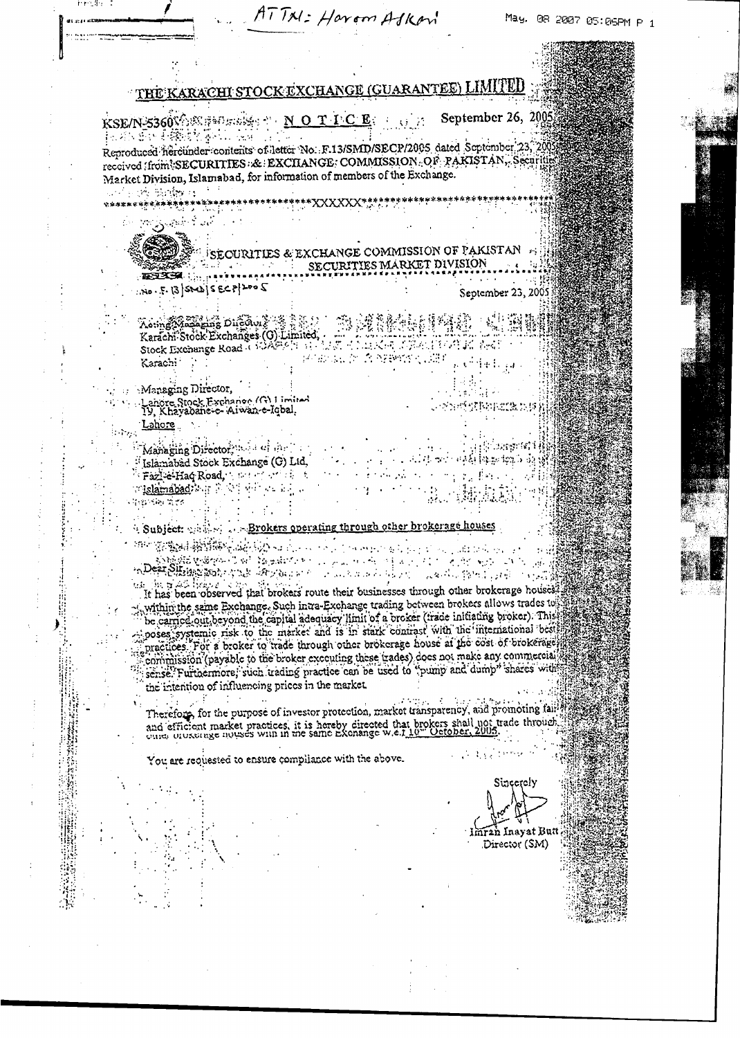| inen_\$n ¦ |                                                                                                                                                                                                               | ATTN: Harom Askan                            |                            |                                    | May. 08 2007 05:05PM P 1 |
|------------|---------------------------------------------------------------------------------------------------------------------------------------------------------------------------------------------------------------|----------------------------------------------|----------------------------|------------------------------------|--------------------------|
|            |                                                                                                                                                                                                               |                                              |                            |                                    |                          |
|            |                                                                                                                                                                                                               |                                              |                            |                                    |                          |
|            | <u>the Karachi stock exchange (Guarantee) LIMITED</u>                                                                                                                                                         |                                              |                            |                                    |                          |
|            | KSE/N-5360VOSCHOUSE TO NOTICE OF                                                                                                                                                                              |                                              |                            | September 26, 2005                 |                          |
|            | 法对政策协同接触控制或协议 混乱<br>Reproduced hereunder contents of letter No. F.13/SMD/SECP/2005 dated September 23, 2005                                                                                                   |                                              |                            |                                    |                          |
|            | received (from SECURITIES: & EXCHANGE: COMMISSION: OF PAKISTAN, Securities<br>Market Division, Islamabad, for information of members of the Exchange.                                                         |                                              |                            |                                    |                          |
|            | and such Barley as<br>トレトラン 日本語 学校教授 (1999年代) 1999年11月12日 - 1999年11月12日 - 1999年11月12日 - 1999年11月12日 - 1999年11月12日 - 1999年1                                                                                    |                                              |                            |                                    |                          |
|            | المستقصات المعصور ويراجعن                                                                                                                                                                                     |                                              |                            |                                    |                          |
|            |                                                                                                                                                                                                               | SECURITIES & EXCHANGE COMMISSION OF PAKISTAN |                            |                                    |                          |
|            |                                                                                                                                                                                                               |                                              | SECURITIES MARKET DIVISION |                                    |                          |
|            | $700 - 5.13$ shabis ECP 2005                                                                                                                                                                                  |                                              |                            | September 23, 2005                 |                          |
|            | Assasse The Difficult & Ball The Life                                                                                                                                                                         |                                              |                            |                                    |                          |
|            | Karachi Stock Exchanges (O) Limited, And Manuel Stock 1, Hold, And                                                                                                                                            |                                              |                            |                                    |                          |
|            | Karachi .                                                                                                                                                                                                     | 经油压量 医高速轴管心理                                 |                            |                                    |                          |
|            | Managing Director,<br>Lanore Stock Exchange (G) Limited<br>19. Khayabane-e-Aiwan-e-Iqbal,                                                                                                                     |                                              |                            | 空运货费取消增振员接                         |                          |
|            | Lahore                                                                                                                                                                                                        |                                              |                            |                                    |                          |
|            | Managing Director, the education                                                                                                                                                                              |                                              |                            | 5. 2019. USS                       |                          |
|            | Islamabad Stock Exchange (G) Ltd.<br>Fazl-e-Haq Road, the control of the                                                                                                                                      |                                              |                            | 网络科特斯加加亚的                          |                          |
|            | islamabad) and he will be a set a<br>谷谷 ふったてく                                                                                                                                                                 |                                              |                            | - 1947. 日本水平                       |                          |
|            | Subject: except on Brokers operating through other brokerage houses                                                                                                                                           |                                              |                            |                                    |                          |
|            | <b>STANDORMENT ARRAIGHANT</b>                                                                                                                                                                                 |                                              | A service communication    |                                    |                          |
|            | <u>හි මුල්ව ලබාගාට ගේ විලෝකරණය</u><br>A <b>DER SHIMAN AND</b> ARTHUR AND AND AND AND AND ARTHUR AND THE STATE                                                                                                 | المتعاطف والأنا                              | A. S. C. S. M. A. D. D.    |                                    |                          |
|            | tek jim te 40 liveove<br>It has been observed that brokers route their businesses through other brokerage houses.<br>y within the same Exchange. Such intra-Exchange trading between brokers allows trades to |                                              |                            |                                    |                          |
|            | be carried our beyond the capital adequacy limit of a proker (irade initiating broker). This<br>poses systemic risk to the market and is in stark contrast with the international best                        |                                              |                            |                                    |                          |
|            | practices. For a broker to trade through other brokerage house at the cost of brokerage                                                                                                                       |                                              |                            |                                    |                          |
|            | commission (payable to the broker executing these trades) does not make any commercial<br>sense. Furthermore, such trading practice can be used to "pump and dump" shares with                                |                                              |                            |                                    |                          |
|            | the intention of influencing prices in the market.                                                                                                                                                            |                                              |                            |                                    |                          |
|            | Therefore, for the purpose of investor protection, market transparency, and promoting fail!<br>and efficient market practices, it is hereby directed that brokers shall not trade through                     |                                              |                            |                                    |                          |
|            |                                                                                                                                                                                                               |                                              |                            |                                    |                          |
|            | You are requested to ensure compliance with the above.                                                                                                                                                        |                                              |                            |                                    |                          |
|            |                                                                                                                                                                                                               |                                              |                            | Sincerely                          |                          |
|            |                                                                                                                                                                                                               |                                              |                            |                                    |                          |
|            |                                                                                                                                                                                                               |                                              |                            | lmran Inayat Butt<br>Director (SM) |                          |
|            |                                                                                                                                                                                                               |                                              |                            |                                    |                          |
|            |                                                                                                                                                                                                               |                                              |                            |                                    |                          |
|            |                                                                                                                                                                                                               |                                              |                            |                                    |                          |

 $\begin{array}{c} \bullet \\ \bullet \\ \bullet \\ \bullet \end{array}$ 

S.

ģ.

Y

Ŷ,

 $\frac{1}{2}$ 

 $\overline{\phantom{a}}$ 

 $\ddot{\phantom{a}}$ 

 $\frac{1}{2}$  $\frac{1}{3}$  $\bar{z}$ 

> $\ddot{\phantom{0}}$  $\frac{1}{2}$

 $\ddot{\phantom{a}}$ 

 $\frac{1}{4}$ 

 $\frac{1}{2}$ 

 $\ddot{\phantom{0}}$  $\mathbf{i}$ 

 $\bar{1}$ 

J.

 $\hat{\mathcal{A}}$